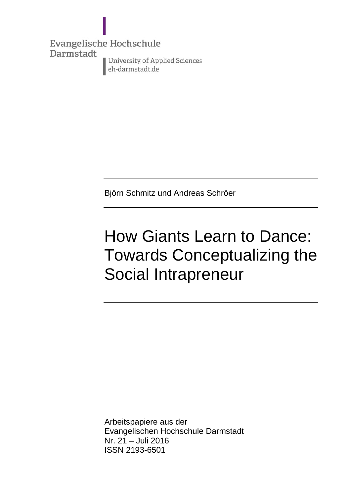**Evangelische Hochschule** Darmstadt University of Applied Sciences eh-darmstadt.de

Björn Schmitz und Andreas Schröer

# How Giants Learn to Dance: Towards Conceptualizing the Social Intrapreneur

Arbeitspapiere aus der Evangelischen Hochschule Darmstadt Nr. 21 – Juli 2016 ISSN 2193-6501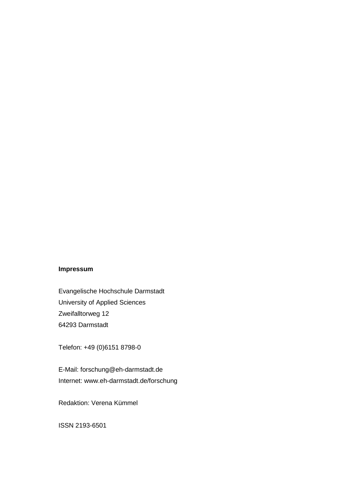# **Impressum**

Evangelische Hochschule Darmstadt University of Applied Sciences Zweifalltorweg 12 64293 Darmstadt

Telefon: +49 (0)6151 8798-0

E-Mail: forschung@eh-darmstadt.de Internet: www.eh-darmstadt.de/forschung

Redaktion: Verena Kümmel

ISSN 2193-6501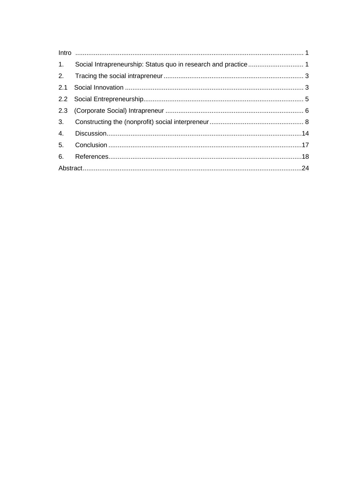| 1. Social Intrapreneurship: Status quo in research and practice 1 |  |
|-------------------------------------------------------------------|--|
|                                                                   |  |
|                                                                   |  |
|                                                                   |  |
|                                                                   |  |
|                                                                   |  |
|                                                                   |  |
|                                                                   |  |
|                                                                   |  |
|                                                                   |  |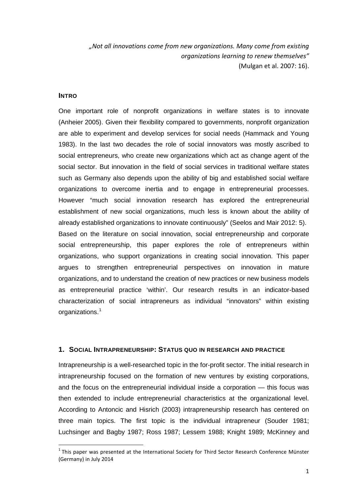*"Not all innovations come from new organizations. Many come from existing organizations learning to renew themselves"*  (Mulgan et al. 2007: 16).

# <span id="page-4-0"></span>**INTRO**

One important role of nonprofit organizations in welfare states is to innovate (Anheier 2005). Given their flexibility compared to governments, nonprofit organization are able to experiment and develop services for social needs (Hammack and Young 1983). In the last two decades the role of social innovators was mostly ascribed to social entrepreneurs, who create new organizations which act as change agent of the social sector. But innovation in the field of social services in traditional welfare states such as Germany also depends upon the ability of big and established social welfare organizations to overcome inertia and to engage in entrepreneurial processes. However "much social innovation research has explored the entrepreneurial establishment of new social organizations, much less is known about the ability of already established organizations to innovate continuously" (Seelos and Mair 2012: 5). Based on the literature on social innovation, social entrepreneurship and corporate

social entrepreneurship, this paper explores the role of entrepreneurs within organizations, who support organizations in creating social innovation. This paper argues to strengthen entrepreneurial perspectives on innovation in mature organizations, and to understand the creation of new practices or new business models as entrepreneurial practice 'within'. Our research results in an indicator-based characterization of social intrapreneurs as individual "innovators" within existing organizations.<sup>[1](#page-4-2)</sup>

## <span id="page-4-1"></span>**1. SOCIAL INTRAPRENEURSHIP: STATUS QUO IN RESEARCH AND PRACTICE**

Intrapreneurship is a well-researched topic in the for-profit sector. The initial research in intrapreneurship focused on the formation of new ventures by existing corporations, and the focus on the entrepreneurial individual inside a corporation — this focus was then extended to include entrepreneurial characteristics at the organizational level. According to Antoncic and Hisrich (2003) intrapreneurship research has centered on three main topics. The first topic is the individual intrapreneur (Souder 1981; Luchsinger and Bagby 1987; Ross 1987; Lessem 1988; Knight 1989; McKinney and

<span id="page-4-2"></span> $<sup>1</sup>$  This paper was presented at the International Society for Third Sector Research Conference Münster</sup> (Germany) in July 2014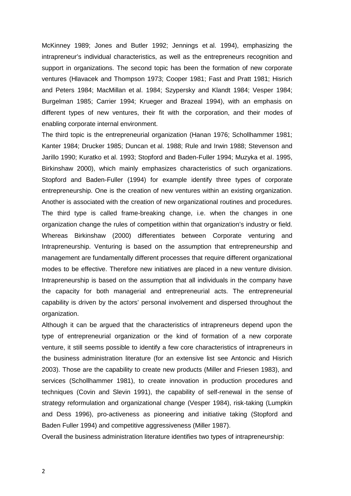McKinney 1989; Jones and Butler 1992; Jennings et al. 1994), emphasizing the intrapreneur's individual characteristics, as well as the entrepreneurs recognition and support in organizations. The second topic has been the formation of new corporate ventures (Hlavacek and Thompson 1973; Cooper 1981; Fast and Pratt 1981; Hisrich and Peters 1984; MacMillan et al. 1984; Szypersky and Klandt 1984; Vesper 1984; Burgelman 1985; Carrier 1994; Krueger and Brazeal 1994), with an emphasis on different types of new ventures, their fit with the corporation, and their modes of enabling corporate internal environment.

The third topic is the entrepreneurial organization (Hanan 1976; Schollhammer 1981; Kanter 1984; Drucker 1985; Duncan et al. 1988; Rule and Irwin 1988; Stevenson and Jarillo 1990; Kuratko et al. 1993; Stopford and Baden-Fuller 1994; Muzyka et aI. 1995, Birkinshaw 2000), which mainly emphasizes characteristics of such organizations. Stopford and Baden-Fuller (1994) for example identify three types of corporate entrepreneurship. One is the creation of new ventures within an existing organization. Another is associated with the creation of new organizational routines and procedures. The third type is called frame-breaking change, i.e. when the changes in one organization change the rules of competition within that organization's industry or field. Whereas Birkinshaw (2000) differentiates between Corporate venturing and Intrapreneurship. Venturing is based on the assumption that entrepreneurship and management are fundamentally different processes that require different organizational modes to be effective. Therefore new initiatives are placed in a new venture division. Intrapreneurship is based on the assumption that all individuals in the company have the capacity for both managerial and entrepreneurial acts. The entrepreneurial capability is driven by the actors' personal involvement and dispersed throughout the organization.

Although it can be argued that the characteristics of intrapreneurs depend upon the type of entrepreneurial organization or the kind of formation of a new corporate venture, it still seems possible to identify a few core characteristics of intrapreneurs in the business administration literature (for an extensive list see Antoncic and Hisrich 2003). Those are the capability to create new products (Miller and Friesen 1983), and services (Schollhammer 1981), to create innovation in production procedures and techniques (Covin and Slevin 1991), the capability of self-renewal in the sense of strategy reformulation and organizational change (Vesper 1984), risk-taking (Lumpkin and Dess 1996), pro-activeness as pioneering and initiative taking (Stopford and Baden Fuller 1994) and competitive aggressiveness (Miller 1987).

Overall the business administration literature identifies two types of intrapreneurship:

2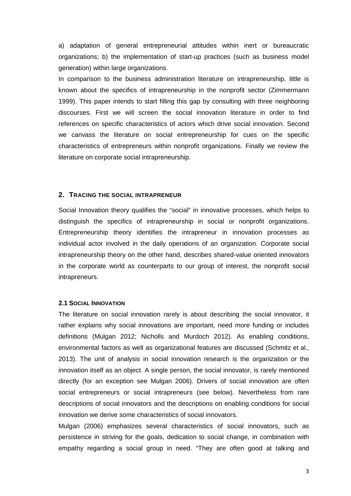a) adaptation of general entrepreneurial attitudes within inert or bureaucratic organizations; b) the implementation of start-up practices (such as business model generation) within large organizations.

In comparison to the business administration literature on intrapreneurship, little is known about the specifics of intrapreneurship in the nonprofit sector (Zimmermann 1999). This paper intends to start filling this gap by consulting with three neighboring discourses. First we will screen the social innovation literature in order to find references on specific characteristics of actors which drive social innovation. Second we canvass the literature on social entrepreneurship for cues on the specific characteristics of entrepreneurs within nonprofit organizations. Finally we review the literature on corporate social intrapreneurship.

#### <span id="page-6-0"></span>**2. TRACING THE SOCIAL INTRAPRENEUR**

Social Innovation theory qualifies the "social" in innovative processes, which helps to distinguish the specifics of intrapreneurship in social or nonprofit organizations. Entrepreneurship theory identifies the intrapreneur in innovation processes as individual actor involved in the daily operations of an organization. Corporate social intrapreneurship theory on the other hand, describes shared-value oriented innovators in the corporate world as counterparts to our group of interest, the nonprofit social intrapreneurs.

## <span id="page-6-1"></span>**2.1 SOCIAL INNOVATION**

The literature on social innovation rarely is about describing the social innovator, it rather explains why social innovations are important, need more funding or includes definitions (Mulgan 2012; Nicholls and Murdoch 2012). As enabling conditions, environmental factors as well as organizational features are discussed (Schmitz et al., 2013). The unit of analysis in social innovation research is the organization or the innovation itself as an object. A single person, the social innovator, is rarely mentioned directly (for an exception see Mulgan 2006). Drivers of social innovation are often social entrepreneurs or social intrapreneurs (see below). Nevertheless from rare descriptions of social innovators and the descriptions on enabling conditions for social innovation we derive some characteristics of social innovators.

Mulgan (2006) emphasizes several characteristics of social innovators, such as persistence in striving for the goals, dedication to social change, in combination with empathy regarding a social group in need. "They are often good at talking and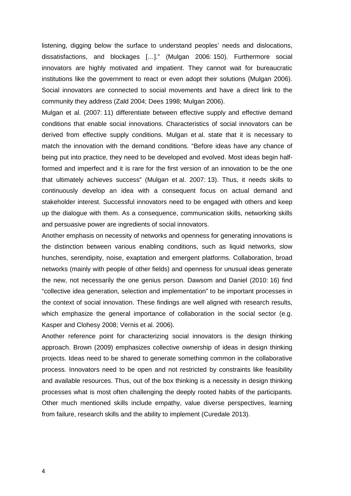listening, digging below the surface to understand peoples' needs and dislocations, dissatisfactions, and blockages […]." (Mulgan 2006: 150). Furthermore social innovators are highly motivated and impatient. They cannot wait for bureaucratic institutions like the government to react or even adopt their solutions (Mulgan 2006). Social innovators are connected to social movements and have a direct link to the community they address (Zald 2004; Dees 1998; Mulgan 2006).

Mulgan et al. (2007: 11) differentiate between effective supply and effective demand conditions that enable social innovations. Characteristics of social innovators can be derived from effective supply conditions. Mulgan et al. state that it is necessary to match the innovation with the demand conditions. "Before ideas have any chance of being put into practice, they need to be developed and evolved. Most ideas begin halfformed and imperfect and it is rare for the first version of an innovation to be the one that ultimately achieves success" (Mulgan et al. 2007: 13). Thus, it needs skills to continuously develop an idea with a consequent focus on actual demand and stakeholder interest. Successful innovators need to be engaged with others and keep up the dialogue with them. As a consequence, communication skills, networking skills and persuasive power are ingredients of social innovators.

Another emphasis on necessity of networks and openness for generating innovations is the distinction between various enabling conditions, such as liquid networks, slow hunches, serendipity, noise, exaptation and emergent platforms. Collaboration, broad networks (mainly with people of other fields) and openness for unusual ideas generate the new, not necessarily the one genius person. Dawsom and Daniel (2010: 16) find "collective idea generation, selection and implementation" to be important processes in the context of social innovation. These findings are well aligned with research results, which emphasize the general importance of collaboration in the social sector (e.g. Kasper and Clohesy 2008; Vernis et al. 2006).

Another reference point for characterizing social innovators is the design thinking approach. Brown (2009) emphasizes collective ownership of ideas in design thinking projects. Ideas need to be shared to generate something common in the collaborative process. Innovators need to be open and not restricted by constraints like feasibility and available resources. Thus, out of the box thinking is a necessity in design thinking processes what is most often challenging the deeply rooted habits of the participants. Other much mentioned skills include empathy, value diverse perspectives, learning from failure, research skills and the ability to implement (Curedale 2013).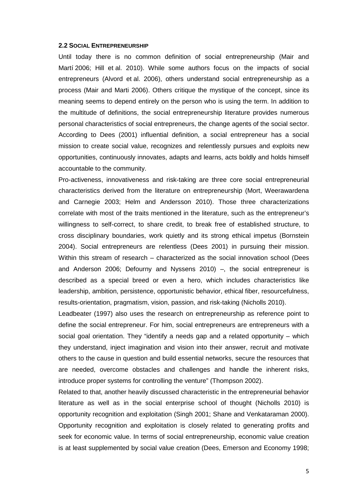#### <span id="page-8-0"></span>**2.2 SOCIAL ENTREPRENEURSHIP**

Until today there is no common definition of social entrepreneurship (Mair and Martí 2006; Hill et al. 2010). While some authors focus on the impacts of social entrepreneurs (Alvord et al. 2006), others understand social entrepreneurship as a process (Mair and Marti 2006). Others critique the mystique of the concept, since its meaning seems to depend entirely on the person who is using the term. In addition to the multitude of definitions, the social entrepreneurship literature provides numerous personal characteristics of social entrepreneurs, the change agents of the social sector. According to Dees (2001) influential definition, a social entrepreneur has a social mission to create social value, recognizes and relentlessly pursues and exploits new opportunities, continuously innovates, adapts and learns, acts boldly and holds himself accountable to the community.

Pro-activeness, innovativeness and risk-taking are three core social entrepreneurial characteristics derived from the literature on entrepreneurship (Mort, Weerawardena and Carnegie 2003; Helm and Andersson 2010). Those three characterizations correlate with most of the traits mentioned in the literature, such as the entrepreneur's willingness to self-correct, to share credit, to break free of established structure, to cross disciplinary boundaries, work quietly and its strong ethical impetus (Bornstein 2004). Social entrepreneurs are relentless (Dees 2001) in pursuing their mission. Within this stream of research – characterized as the social innovation school (Dees and Anderson 2006; Defourny and Nyssens 2010)  $-$ , the social entrepreneur is described as a special breed or even a hero, which includes characteristics like leadership, ambition, persistence, opportunistic behavior, ethical fiber, resourcefulness, results-orientation, pragmatism, vision, passion, and risk-taking (Nicholls 2010).

Leadbeater (1997) also uses the research on entrepreneurship as reference point to define the social entrepreneur. For him, social entrepreneurs are entrepreneurs with a social goal orientation. They "identify a needs gap and a related opportunity – which they understand, inject imagination and vision into their answer, recruit and motivate others to the cause in question and build essential networks, secure the resources that are needed, overcome obstacles and challenges and handle the inherent risks, introduce proper systems for controlling the venture" (Thompson 2002).

Related to that, another heavily discussed characteristic in the entrepreneurial behavior literature as well as in the social enterprise school of thought (Nicholls 2010) is opportunity recognition and exploitation (Singh 2001; Shane and Venkataraman 2000). Opportunity recognition and exploitation is closely related to generating profits and seek for economic value. In terms of social entrepreneurship, economic value creation is at least supplemented by social value creation (Dees, Emerson and Economy 1998;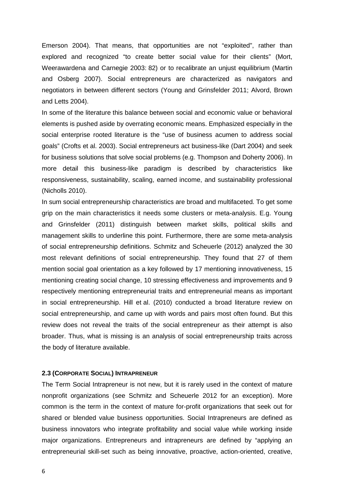Emerson 2004). That means, that opportunities are not "exploited", rather than explored and recognized "to create better social value for their clients" (Mort, Weerawardena and Carnegie 2003: 82) or to recalibrate an unjust equilibrium (Martin and Osberg 2007). Social entrepreneurs are characterized as navigators and negotiators in between different sectors (Young and Grinsfelder 2011; Alvord, Brown and Letts 2004).

In some of the literature this balance between social and economic value or behavioral elements is pushed aside by overrating economic means. Emphasized especially in the social enterprise rooted literature is the "use of business acumen to address social goals" (Crofts et al. 2003). Social entrepreneurs act business-like (Dart 2004) and seek for business solutions that solve social problems (e.g. Thompson and Doherty 2006). In more detail this business-like paradigm is described by characteristics like responsiveness, sustainability, scaling, earned income, and sustainability professional (Nicholls 2010).

In sum social entrepreneurship characteristics are broad and multifaceted. To get some grip on the main characteristics it needs some clusters or meta-analysis. E.g. Young and Grinsfelder (2011) distinguish between market skills, political skills and management skills to underline this point. Furthermore, there are some meta-analysis of social entrepreneurship definitions. Schmitz and Scheuerle (2012) analyzed the 30 most relevant definitions of social entrepreneurship. They found that 27 of them mention social goal orientation as a key followed by 17 mentioning innovativeness, 15 mentioning creating social change, 10 stressing effectiveness and improvements and 9 respectively mentioning entrepreneurial traits and entrepreneurial means as important in social entrepreneurship. Hill et al. (2010) conducted a broad literature review on social entrepreneurship, and came up with words and pairs most often found. But this review does not reveal the traits of the social entrepreneur as their attempt is also broader. Thus, what is missing is an analysis of social entrepreneurship traits across the body of literature available.

#### <span id="page-9-0"></span>**2.3 (CORPORATE SOCIAL) INTRAPRENEUR**

The Term Social Intrapreneur is not new, but it is rarely used in the context of mature nonprofit organizations (see Schmitz and Scheuerle 2012 for an exception). More common is the term in the context of mature for-profit organizations that seek out for shared or blended value business opportunities. Social Intrapreneurs are defined as business innovators who integrate profitability and social value while working inside major organizations. Entrepreneurs and intrapreneurs are defined by "applying an entrepreneurial skill-set such as being innovative, proactive, action-oriented, creative,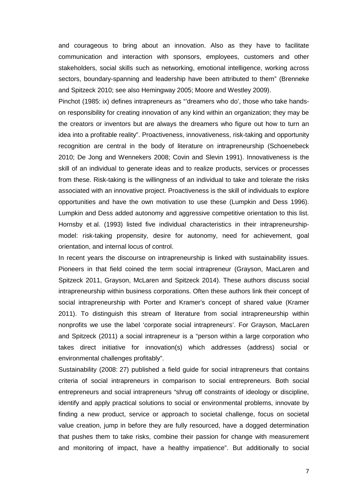and courageous to bring about an innovation. Also as they have to facilitate communication and interaction with sponsors, employees, customers and other stakeholders, social skills such as networking, emotional intelligence, working across sectors, boundary-spanning and leadership have been attributed to them" (Brenneke and Spitzeck 2010; see also Hemingway 2005; Moore and Westley 2009).

Pinchot (1985: ix) defines intrapreneurs as "'dreamers who do', those who take handson responsibility for creating innovation of any kind within an organization; they may be the creators or inventors but are always the dreamers who figure out how to turn an idea into a profitable reality". Proactiveness, innovativeness, risk-taking and opportunity recognition are central in the body of literature on intrapreneurship (Schoenebeck 2010; De Jong and Wennekers 2008; Covin and Slevin 1991). Innovativeness is the skill of an individual to generate ideas and to realize products, services or processes from these. Risk-taking is the willingness of an individual to take and tolerate the risks associated with an innovative project. Proactiveness is the skill of individuals to explore opportunities and have the own motivation to use these (Lumpkin and Dess 1996). Lumpkin and Dess added autonomy and aggressive competitive orientation to this list. Hornsby et al. (1993) listed five individual characteristics in their intrapreneurshipmodel: risk-taking propensity, desire for autonomy, need for achievement, goal orientation, and internal locus of control.

In recent years the discourse on intrapreneurship is linked with sustainability issues. Pioneers in that field coined the term social intrapreneur (Grayson, MacLaren and Spitzeck 2011, Grayson, McLaren and Spitzeck 2014). These authors discuss social intrapreneurship within business corporations. Often these authors link their concept of social intrapreneurship with Porter and Kramer's concept of shared value (Kramer 2011). To distinguish this stream of literature from social intrapreneurship within nonprofits we use the label 'corporate social intrapreneurs'. For Grayson, MacLaren and Spitzeck (2011) a social intrapreneur is a "person within a large corporation who takes direct initiative for innovation(s) which addresses (address) social or environmental challenges profitably".

Sustainability (2008: 27) published a field guide for social intrapreneurs that contains criteria of social intrapreneurs in comparison to social entrepreneurs. Both social entrepreneurs and social intrapreneurs "shrug off constraints of ideology or discipline, identify and apply practical solutions to social or environmental problems, innovate by finding a new product, service or approach to societal challenge, focus on societal value creation, jump in before they are fully resourced, have a dogged determination that pushes them to take risks, combine their passion for change with measurement and monitoring of impact, have a healthy impatience". But additionally to social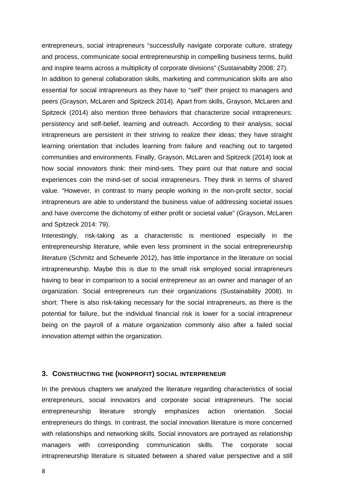entrepreneurs, social intrapreneurs "successfully navigate corporate culture, strategy and process, communicate social entrepreneurship in compelling business terms, build and inspire teams across a multiplicity of corporate divisions" (Sustainabilty 2008: 27). In addition to general collaboration skills, marketing and communication skills are also essential for social intrapreneurs as they have to "sell" their project to managers and peers (Grayson, McLaren and Spitzeck 2014). Apart from skills, Grayson, McLaren and Spitzeck (2014) also mention three behaviors that characterize social intrapreneurs: persistency and self-belief, learning and outreach. According to their analysis, social intrapreneurs are persistent in their striving to realize their ideas; they have straight learning orientation that includes learning from failure and reaching out to targeted communities and environments. Finally, Grayson, McLaren and Spitzeck (2014) look at how social innovators think: their mind-sets. They point out that nature and social experiences coin the mind-set of social intrapreneurs. They think in terms of shared value. "However, in contrast to many people working in the non-profit sector, social intrapreneurs are able to understand the business value of addressing societal issues and have overcome the dichotomy of either profit or societal value" (Grayson, McLaren and Spitzeck 2014: 79).

Interestingly, risk-taking as a characteristic is mentioned especially in the entrepreneurship literature, while even less prominent in the social entrepreneurship literature (Schmitz and Scheuerle 2012), has little importance in the literature on social intrapreneurship. Maybe this is due to the small risk employed social intrapreneurs having to bear in comparison to a social entrepreneur as an owner and manager of an organization. Social entrepreneurs run their organizations (Sustainability 2008). In short: There is also risk-taking necessary for the social intrapreneurs, as there is the potential for failure, but the individual financial risk is lower for a social intrapreneur being on the payroll of a mature organization commonly also after a failed social innovation attempt within the organization.

#### <span id="page-11-0"></span>**3. CONSTRUCTING THE (NONPROFIT) SOCIAL INTERPRENEUR**

In the previous chapters we analyzed the literature regarding characteristics of social entrepreneurs, social innovators and corporate social intrapreneurs. The social entrepreneurship literature strongly emphasizes action orientation. Social entrepreneurs do things. In contrast, the social innovation literature is more concerned with relationships and networking skills. Social innovators are portrayed as relationship managers with corresponding communication skills. The corporate social intrapreneurship literature is situated between a shared value perspective and a still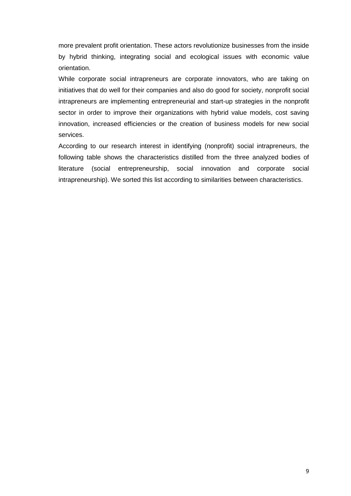more prevalent profit orientation. These actors revolutionize businesses from the inside by hybrid thinking, integrating social and ecological issues with economic value orientation.

While corporate social intrapreneurs are corporate innovators, who are taking on initiatives that do well for their companies and also do good for society, nonprofit social intrapreneurs are implementing entrepreneurial and start-up strategies in the nonprofit sector in order to improve their organizations with hybrid value models, cost saving innovation, increased efficiencies or the creation of business models for new social services.

According to our research interest in identifying (nonprofit) social intrapreneurs, the following table shows the characteristics distilled from the three analyzed bodies of literature (social entrepreneurship, social innovation and corporate social intrapreneurship). We sorted this list according to similarities between characteristics.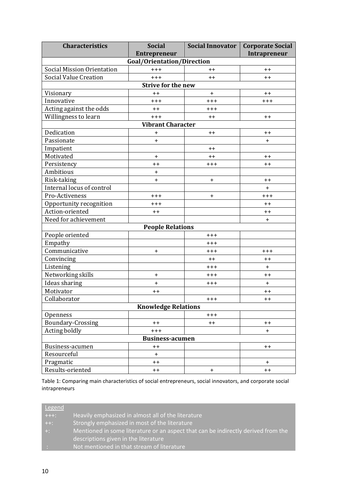| <b>Characteristics</b>            | <b>Social</b>              | <b>Social Innovator</b> | <b>Corporate Social</b> |  |  |  |  |  |
|-----------------------------------|----------------------------|-------------------------|-------------------------|--|--|--|--|--|
|                                   | <b>Entrepreneur</b>        |                         | Intrapreneur            |  |  |  |  |  |
| Goal/Orientation/Direction        |                            |                         |                         |  |  |  |  |  |
| <b>Social Mission Orientation</b> | $+++$                      | $++$                    | $++$                    |  |  |  |  |  |
| <b>Social Value Creation</b>      | $+++$                      | $++$                    | $++$                    |  |  |  |  |  |
| <b>Strive for the new</b>         |                            |                         |                         |  |  |  |  |  |
| Visionary                         | $++$                       | $\ddot{}$               | $++$                    |  |  |  |  |  |
| Innovative                        | $+ + +$                    | $^{+++}$                | $^{+++}$                |  |  |  |  |  |
| Acting against the odds           | $++$                       | $++++$                  |                         |  |  |  |  |  |
| Willingness to learn              | $+++$                      | $++$                    | $++$                    |  |  |  |  |  |
|                                   | <b>Vibrant Character</b>   |                         |                         |  |  |  |  |  |
| Dedication                        | $\ddot{}$                  | $++$                    | $++$                    |  |  |  |  |  |
| Passionate                        | $+$                        |                         | $\ddot{}$               |  |  |  |  |  |
| Impatient                         |                            | $++$                    |                         |  |  |  |  |  |
| Motivated                         | $\ddot{}$                  | $++$                    | $^{\mathrm{+}}$         |  |  |  |  |  |
| Persistency                       | $++$                       | $+ + +$                 | $++$                    |  |  |  |  |  |
| Ambitious                         | $\ddot{}$                  |                         |                         |  |  |  |  |  |
| Risk-taking                       | $+$                        | $\ddot{}$               | $++$                    |  |  |  |  |  |
| Internal locus of control         |                            |                         | $+$                     |  |  |  |  |  |
| Pro-Activeness                    | $+++$                      | $\ddot{}$               | $^{+ + +}$              |  |  |  |  |  |
| Opportunity recognition           | $^{+++}$                   |                         | $++$                    |  |  |  |  |  |
| Action-oriented                   | $++$                       |                         | $++$                    |  |  |  |  |  |
| Need for achievement              |                            |                         | $+$                     |  |  |  |  |  |
|                                   | <b>People Relations</b>    |                         |                         |  |  |  |  |  |
| People oriented                   |                            | $++++$                  |                         |  |  |  |  |  |
| Empathy                           |                            | $++++$                  |                         |  |  |  |  |  |
| Communicative                     | $\ddot{}$                  | $++++$                  | $+++$                   |  |  |  |  |  |
| Convincing                        |                            | $++$                    | $++$                    |  |  |  |  |  |
| Listening                         |                            | $++++$                  | $\ddot{}$               |  |  |  |  |  |
| Networking skills                 | $\ddot{}$                  | $+++$                   | $++$                    |  |  |  |  |  |
| Ideas sharing                     | $\ddot{}$                  | $++++$                  | $+$                     |  |  |  |  |  |
| Motivator                         | $++$                       |                         | $++$                    |  |  |  |  |  |
| Collaborator                      |                            | $^{+++}$                | $++$                    |  |  |  |  |  |
|                                   | <b>Knowledge Relations</b> |                         |                         |  |  |  |  |  |
| Openness                          |                            | $+++$                   |                         |  |  |  |  |  |
| Boundary-Crossing                 | $++$                       | $++$                    | $++$                    |  |  |  |  |  |
| Acting boldly                     | $++++$                     |                         | $\ddot{}$               |  |  |  |  |  |
| <b>Business-acumen</b>            |                            |                         |                         |  |  |  |  |  |
| Business-acumen                   | $^{\mathrm{+}}$            |                         | $++$                    |  |  |  |  |  |
| Resourceful                       | $+$                        |                         |                         |  |  |  |  |  |
| Pragmatic                         | $++$                       |                         | $\ddot{}$               |  |  |  |  |  |
| Results-oriented                  | $++$                       | $\ddot{}$               | $++$                    |  |  |  |  |  |

Table 1: Comparing main characteristics of social entrepreneurs, social innovators, and corporate social intrapreneurs

| Legend    |                                                                                   |
|-----------|-----------------------------------------------------------------------------------|
| $+ + +$ : | Heavily emphasized in almost all of the literature                                |
| $++$ :    | Strongly emphasized in most of the literature                                     |
| $+1$      | Mentioned in some literature or an aspect that can be indirectly derived from the |
|           | descriptions given in the literature                                              |
| . .       | Not mentioned in that stream of literature                                        |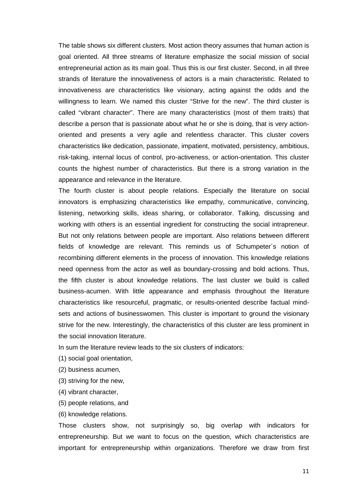The table shows six different clusters. Most action theory assumes that human action is goal oriented. All three streams of literature emphasize the social mission of social entrepreneurial action as its main goal. Thus this is our first cluster. Second, in all three strands of literature the innovativeness of actors is a main characteristic. Related to innovativeness are characteristics like visionary, acting against the odds and the willingness to learn. We named this cluster "Strive for the new". The third cluster is called "vibrant character". There are many characteristics (most of them traits) that describe a person that is passionate about what he or she is doing, that is very actionoriented and presents a very agile and relentless character. This cluster covers characteristics like dedication, passionate, impatient, motivated, persistency, ambitious, risk-taking, internal locus of control, pro-activeness, or action-orientation. This cluster counts the highest number of characteristics. But there is a strong variation in the appearance and relevance in the literature.

The fourth cluster is about people relations. Especially the literature on social innovators is emphasizing characteristics like empathy, communicative, convincing, listening, networking skills, ideas sharing, or collaborator. Talking, discussing and working with others is an essential ingredient for constructing the social intrapreneur. But not only relations between people are important. Also relations between different fields of knowledge are relevant. This reminds us of Schumpeter´s notion of recombining different elements in the process of innovation. This knowledge relations need openness from the actor as well as boundary-crossing and bold actions. Thus, the fifth cluster is about knowledge relations. The last cluster we build is called business-acumen. With little appearance and emphasis throughout the literature characteristics like resourceful, pragmatic, or results-oriented describe factual mindsets and actions of businesswomen. This cluster is important to ground the visionary strive for the new. Interestingly, the characteristics of this cluster are less prominent in the social innovation literature.

In sum the literature review leads to the six clusters of indicators:

- (1) social goal orientation,
- (2) business acumen,
- (3) striving for the new,
- (4) vibrant character,
- (5) people relations, and
- (6) knowledge relations.

Those clusters show, not surprisingly so, big overlap with indicators for entrepreneurship. But we want to focus on the question, which characteristics are important for entrepreneurship within organizations. Therefore we draw from first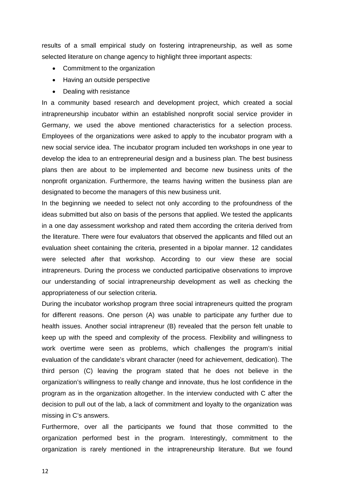results of a small empirical study on fostering intrapreneurship, as well as some selected literature on change agency to highlight three important aspects:

- Commitment to the organization
- Having an outside perspective
- Dealing with resistance

In a community based research and development project, which created a social intrapreneurship incubator within an established nonprofit social service provider in Germany, we used the above mentioned characteristics for a selection process. Employees of the organizations were asked to apply to the incubator program with a new social service idea. The incubator program included ten workshops in one year to develop the idea to an entrepreneurial design and a business plan. The best business plans then are about to be implemented and become new business units of the nonprofit organization. Furthermore, the teams having written the business plan are designated to become the managers of this new business unit.

In the beginning we needed to select not only according to the profoundness of the ideas submitted but also on basis of the persons that applied. We tested the applicants in a one day assessment workshop and rated them according the criteria derived from the literature. There were four evaluators that observed the applicants and filled out an evaluation sheet containing the criteria, presented in a bipolar manner. 12 candidates were selected after that workshop. According to our view these are social intrapreneurs. During the process we conducted participative observations to improve our understanding of social intrapreneurship development as well as checking the appropriateness of our selection criteria.

During the incubator workshop program three social intrapreneurs quitted the program for different reasons. One person (A) was unable to participate any further due to health issues. Another social intrapreneur (B) revealed that the person felt unable to keep up with the speed and complexity of the process. Flexibility and willingness to work overtime were seen as problems, which challenges the program's initial evaluation of the candidate's vibrant character (need for achievement, dedication). The third person (C) leaving the program stated that he does not believe in the organization's willingness to really change and innovate, thus he lost confidence in the program as in the organization altogether. In the interview conducted with C after the decision to pull out of the lab, a lack of commitment and loyalty to the organization was missing in C's answers.

Furthermore, over all the participants we found that those committed to the organization performed best in the program. Interestingly, commitment to the organization is rarely mentioned in the intrapreneurship literature. But we found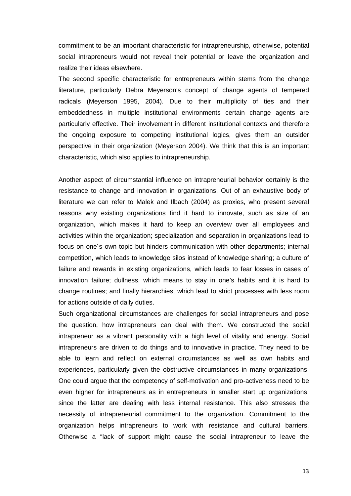commitment to be an important characteristic for intrapreneurship, otherwise, potential social intrapreneurs would not reveal their potential or leave the organization and realize their ideas elsewhere.

The second specific characteristic for entrepreneurs within stems from the change literature, particularly Debra Meyerson's concept of change agents of tempered radicals (Meyerson 1995, 2004). Due to their multiplicity of ties and their embeddedness in multiple institutional environments certain change agents are particularly effective. Their involvement in different institutional contexts and therefore the ongoing exposure to competing institutional logics, gives them an outsider perspective in their organization (Meyerson 2004). We think that this is an important characteristic, which also applies to intrapreneurship.

Another aspect of circumstantial influence on intrapreneurial behavior certainly is the resistance to change and innovation in organizations. Out of an exhaustive body of literature we can refer to Malek and Ilbach (2004) as proxies, who present several reasons why existing organizations find it hard to innovate, such as size of an organization, which makes it hard to keep an overview over all employees and activities within the organization; specialization and separation in organizations lead to focus on one´s own topic but hinders communication with other departments; internal competition, which leads to knowledge silos instead of knowledge sharing; a culture of failure and rewards in existing organizations, which leads to fear losses in cases of innovation failure; dullness, which means to stay in one's habits and it is hard to change routines; and finally hierarchies, which lead to strict processes with less room for actions outside of daily duties.

Such organizational circumstances are challenges for social intrapreneurs and pose the question, how intrapreneurs can deal with them. We constructed the social intrapreneur as a vibrant personality with a high level of vitality and energy. Social intrapreneurs are driven to do things and to innovative in practice. They need to be able to learn and reflect on external circumstances as well as own habits and experiences, particularly given the obstructive circumstances in many organizations. One could argue that the competency of self-motivation and pro-activeness need to be even higher for intrapreneurs as in entrepreneurs in smaller start up organizations, since the latter are dealing with less internal resistance. This also stresses the necessity of intrapreneurial commitment to the organization. Commitment to the organization helps intrapreneurs to work with resistance and cultural barriers. Otherwise a "lack of support might cause the social intrapreneur to leave the

13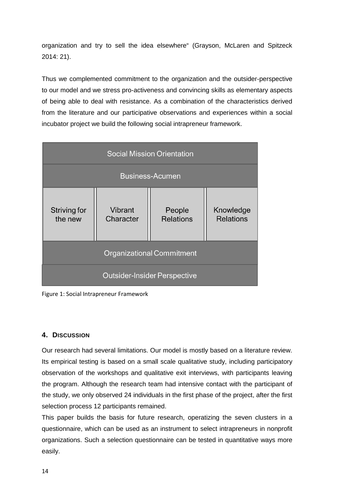organization and try to sell the idea elsewhere" (Grayson, McLaren and Spitzeck 2014: 21).

Thus we complemented commitment to the organization and the outsider-perspective to our model and we stress pro-activeness and convincing skills as elementary aspects of being able to deal with resistance. As a combination of the characteristics derived from the literature and our participative observations and experiences within a social incubator project we build the following social intrapreneur framework.

| <b>Social Mission Orientation</b>   |                      |                            |                               |  |  |  |  |  |
|-------------------------------------|----------------------|----------------------------|-------------------------------|--|--|--|--|--|
| <b>Business-Acumen</b>              |                      |                            |                               |  |  |  |  |  |
| <b>Striving for</b><br>the new      | Vibrant<br>Character | People<br><b>Relations</b> | Knowledge<br><b>Relations</b> |  |  |  |  |  |
| <b>Organizational Commitment</b>    |                      |                            |                               |  |  |  |  |  |
| <b>Outsider-Insider Perspective</b> |                      |                            |                               |  |  |  |  |  |



# <span id="page-17-0"></span>**4. DISCUSSION**

Our research had several limitations. Our model is mostly based on a literature review. Its empirical testing is based on a small scale qualitative study, including participatory observation of the workshops and qualitative exit interviews, with participants leaving the program. Although the research team had intensive contact with the participant of the study, we only observed 24 individuals in the first phase of the project, after the first selection process 12 participants remained.

This paper builds the basis for future research, operatizing the seven clusters in a questionnaire, which can be used as an instrument to select intrapreneurs in nonprofit organizations. Such a selection questionnaire can be tested in quantitative ways more easily.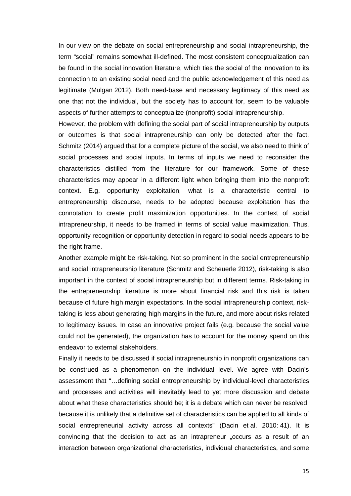In our view on the debate on social entrepreneurship and social intrapreneurship, the term "social" remains somewhat ill-defined. The most consistent conceptualization can be found in the social innovation literature, which ties the social of the innovation to its connection to an existing social need and the public acknowledgement of this need as legitimate (Mulgan 2012). Both need-base and necessary legitimacy of this need as one that not the individual, but the society has to account for, seem to be valuable aspects of further attempts to conceptualize (nonprofit) social intrapreneurship.

However, the problem with defining the social part of social intrapreneurship by outputs or outcomes is that social intrapreneurship can only be detected after the fact. Schmitz (2014) argued that for a complete picture of the social, we also need to think of social processes and social inputs. In terms of inputs we need to reconsider the characteristics distilled from the literature for our framework. Some of these characteristics may appear in a different light when bringing them into the nonprofit context. E.g. opportunity exploitation, what is a characteristic central to entrepreneurship discourse, needs to be adopted because exploitation has the connotation to create profit maximization opportunities. In the context of social intrapreneurship, it needs to be framed in terms of social value maximization. Thus, opportunity recognition or opportunity detection in regard to social needs appears to be the right frame.

Another example might be risk-taking. Not so prominent in the social entrepreneurship and social intrapreneurship literature (Schmitz and Scheuerle 2012), risk-taking is also important in the context of social intrapreneurship but in different terms. Risk-taking in the entrepreneurship literature is more about financial risk and this risk is taken because of future high margin expectations. In the social intrapreneurship context, risktaking is less about generating high margins in the future, and more about risks related to legitimacy issues. In case an innovative project fails (e.g. because the social value could not be generated), the organization has to account for the money spend on this endeavor to external stakeholders.

Finally it needs to be discussed if social intrapreneurship in nonprofit organizations can be construed as a phenomenon on the individual level. We agree with Dacin's assessment that "…defining social entrepreneurship by individual-level characteristics and processes and activities will inevitably lead to yet more discussion and debate about what these characteristics should be; it is a debate which can never be resolved, because it is unlikely that a definitive set of characteristics can be applied to all kinds of social entrepreneurial activity across all contexts" (Dacin et al. 2010: 41). It is convincing that the decision to act as an intrapreneur "occurs as a result of an interaction between organizational characteristics, individual characteristics, and some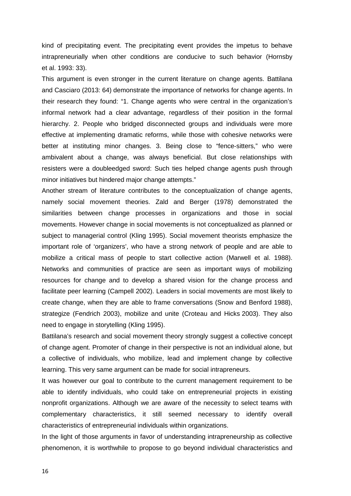kind of precipitating event. The precipitating event provides the impetus to behave intrapreneurially when other conditions are conducive to such behavior (Hornsby et al. 1993: 33).

This argument is even stronger in the current literature on change agents. Battilana and Casciaro (2013: 64) demonstrate the importance of networks for change agents. In their research they found: "1. Change agents who were central in the organization's informal network had a clear advantage, regardless of their position in the formal hierarchy. 2. People who bridged disconnected groups and individuals were more effective at implementing dramatic reforms, while those with cohesive networks were better at instituting minor changes. 3. Being close to "fence-sitters," who were ambivalent about a change, was always beneficial. But close relationships with resisters were a doubleedged sword: Such ties helped change agents push through minor initiatives but hindered major change attempts."

Another stream of literature contributes to the conceptualization of change agents, namely social movement theories. Zald and Berger (1978) demonstrated the similarities between change processes in organizations and those in social movements. However change in social movements is not conceptualized as planned or subject to managerial control (Kling 1995). Social movement theorists emphasize the important role of 'organizers', who have a strong network of people and are able to mobilize a critical mass of people to start collective action (Marwell et al. 1988). Networks and communities of practice are seen as important ways of mobilizing resources for change and to develop a shared vision for the change process and facilitate peer learning (Campell 2002). Leaders in social movements are most likely to create change, when they are able to frame conversations (Snow and Benford 1988), strategize (Fendrich 2003), mobilize and unite (Croteau and Hicks 2003). They also need to engage in storytelling (Kling 1995).

Battilana's research and social movement theory strongly suggest a collective concept of change agent. Promoter of change in their perspective is not an individual alone, but a collective of individuals, who mobilize, lead and implement change by collective learning. This very same argument can be made for social intrapreneurs.

It was however our goal to contribute to the current management requirement to be able to identify individuals, who could take on entrepreneurial projects in existing nonprofit organizations. Although we are aware of the necessity to select teams with complementary characteristics, it still seemed necessary to identify overall characteristics of entrepreneurial individuals within organizations.

In the light of those arguments in favor of understanding intrapreneurship as collective phenomenon, it is worthwhile to propose to go beyond individual characteristics and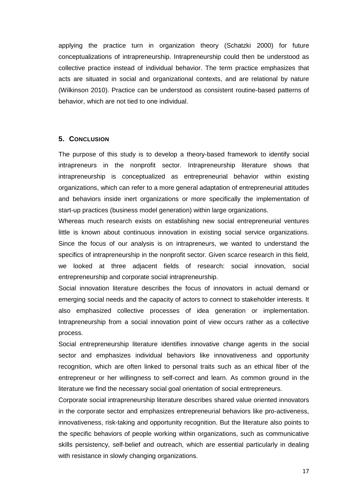applying the practice turn in organization theory (Schatzki 2000) for future conceptualizations of intrapreneurship. Intrapreneurship could then be understood as collective practice instead of individual behavior. The term practice emphasizes that acts are situated in social and organizational contexts, and are relational by nature (Wilkinson 2010). Practice can be understood as consistent routine-based patterns of behavior, which are not tied to one individual.

# <span id="page-20-0"></span>**5. CONCLUSION**

The purpose of this study is to develop a theory-based framework to identify social intrapreneurs in the nonprofit sector. Intrapreneurship literature shows that intrapreneurship is conceptualized as entrepreneurial behavior within existing organizations, which can refer to a more general adaptation of entrepreneurial attitudes and behaviors inside inert organizations or more specifically the implementation of start-up practices (business model generation) within large organizations.

Whereas much research exists on establishing new social entrepreneurial ventures little is known about continuous innovation in existing social service organizations. Since the focus of our analysis is on intrapreneurs, we wanted to understand the specifics of intrapreneurship in the nonprofit sector. Given scarce research in this field, we looked at three adjacent fields of research: social innovation, social entrepreneurship and corporate social intrapreneurship.

Social innovation literature describes the focus of innovators in actual demand or emerging social needs and the capacity of actors to connect to stakeholder interests. It also emphasized collective processes of idea generation or implementation. Intrapreneurship from a social innovation point of view occurs rather as a collective process.

Social entrepreneurship literature identifies innovative change agents in the social sector and emphasizes individual behaviors like innovativeness and opportunity recognition, which are often linked to personal traits such as an ethical fiber of the entrepreneur or her willingness to self-correct and learn. As common ground in the literature we find the necessary social goal orientation of social entrepreneurs.

Corporate social intrapreneurship literature describes shared value oriented innovators in the corporate sector and emphasizes entrepreneurial behaviors like pro-activeness, innovativeness, risk-taking and opportunity recognition. But the literature also points to the specific behaviors of people working within organizations, such as communicative skills persistency, self-belief and outreach, which are essential particularly in dealing with resistance in slowly changing organizations.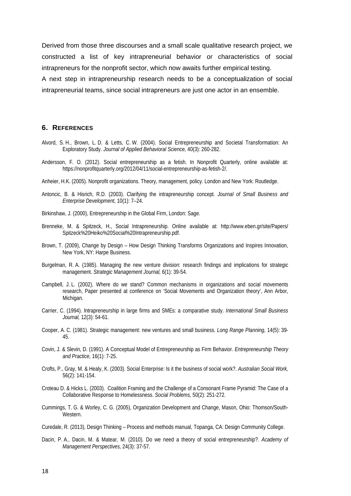Derived from those three discourses and a small scale qualitative research project, we constructed a list of key intrapreneurial behavior or characteristics of social intrapreneurs for the nonprofit sector, which now awaits further empirical testing.

A next step in intrapreneurship research needs to be a conceptualization of social intrapreneurial teams, since social intrapreneurs are just one actor in an ensemble.

### <span id="page-21-0"></span>**6. REFERENCES**

- Alvord, S. H., Brown, L. D. & Letts, C. W. (2004). Social Entrepreneurship and Societal Transformation: An Exploratory Study. *Journal of Applied Behavioral Science,* 40(3): 260-282.
- Andersson, F. O. (2012). Social entrepreneurship as a fetish. In Nonprofit Quarterly, online available at: https://nonprofitquarterly.org/2012/04/11/social-entrepreneurship-as-fetish-2/.
- Anheier, H.K. (2005). Nonprofit organizations. Theory, management, policy. London and New York: Routledge.
- Antoncic, B. & Hisrich, R.D. (2003). Clarifying the intrapreneurship concept. *Journal of Small Business and Enterprise Development*, 10(1): 7–24.
- Birkinshaw, J. (2000), Entrepreneurship in the Global Firm, London: Sage.
- Brenneke, M. & Spitzeck, H., Social Intrapreneurship. Online available at: http://www.eben.gr/site/Papers/ Spitzeck%20Heiko%20Social%20Intrapreneurship.pdf.
- Brown, T. (2009), Change by Design How Design Thinking Transforms Organizations and Inspires Innovation, New York, NY: Harpe Business.
- Burgelman, R. A. (1985). Managing the new venture division: research findings and implications for strategic management. *Strategic Management Journal,* 6(1): 39-54.
- Campbell, J. L. (2002), Where do we stand? Common mechanisms in organizations and social movements research, Paper presented at conference on 'Social Movements and Organization theory', Ann Arbor, Michigan.
- Carrier, C. (1994). lntrapreneurship in large firms and SMEs: a comparative study. *International Small Business Journal,* 12(3): 54-61.
- Cooper, A. C. (1981). Strategic management: new ventures and small business. *Long Range Planning,* 14(5): 39- 45.
- Covin, J. & Slevin, D. (1991). A Conceptual Model of Entrepreneurship as Firm Behavior. *Entrepreneurship Theory and Practice,* 16(1): 7-25.
- Crofts, P., Gray, M. & Healy, K. (2003). Social Enterprise: Is it the business of social work?. *Australian Social Work,*  56(2): 141-154.
- Croteau D. & Hicks L. (2003). Coalition Framing and the Challenge of a Consonant Frame Pyramid: The Case of a Collaborative Response to Homelessness. *Social Problems,* 50(2): 251-272.
- Cummings, T. G. & Worley, C. G. (2005), Organization Development and Change, Mason, Ohio: Thomson/South-Western.
- Curedale, R. (2013), Design Thinking Process and methods manual, Topanga, CA: Design Community College.
- Dacin, P. A., Dacin, M. & Matear, M. (2010). Do we need a theory of social entrepreneurship?. *Academy of Management Perspectives,* 24(3): 37-57.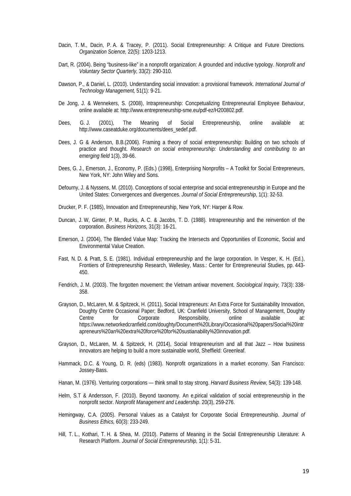- Dacin, T. M., Dacin, P. A. & Tracey, P. (2011). Social Entrepreneurship: A Critique and Future Directions*. Organization Science,* 22(5): 1203-1213.
- Dart, R. (2004). Being "business-like" in a nonprofit organization: A grounded and inductive typology. *Nonprofit and Voluntary Sector Quarterly,* 33(2): 290-310.
- Dawson, P., & Daniel, L. (2010). Understanding social innovation: a provisional framework. *International Journal of Technology Management,* 51(1): 9-21.
- De Jong, J. & Wennekers, S. (2008), Intrapreneurship: Concpetualizing Entrepreneurial Employee Behaviour, online available at: http://www.entrepreneurship-sme.eu/pdf-ez/H200802.pdf.
- Dees, G. J. (2001), The Meaning of Social Entrepreneurship, online available at: [http://www.caseatduke.org/documents/dees\\_sedef.pdf.](http://www.caseatduke.org/documents/dees_sedef.pdf)
- Dees, J. G & Anderson, B.B.(2006). Framing a theory of social entrepreneurship: Building on two schools of practice and thought. Research on social entrepreneurship: Understanding and contributing to an *emerging field* 1(3), 39-66.
- Dees, G. J., Emerson, J., Economy, P. (Eds.) (1998), Enterprising Nonprofits A Toolkit for Social Entrepreneurs, New York, NY: John Wiley and Sons.
- Defourny, J. & Nyssens, M. (2010). Conceptions of social enterprise and social entrepreneurship in Europe and the United States: Convergences and divergences. *Journal of Social Entrepreneurship*, 1(1): 32-53.
- Drucker, P. F. (1985), Innovation and Entrepreneurship, New York, NY: Harper & Row.
- Duncan, J. W, Ginter, P. M., Rucks, A. C. & Jacobs, T. D. (1988). Intrapreneurship and the reinvention of the corporation. *Business Horizons,* 31(3): 16-21.
- Emerson, J. (2004), The Blended Value Map: Tracking the Intersects and Opportunities of Economic, Social and Environmental Value Creation.
- Fast, N. D. & Pratt, S. E. (1981). Individual entrepreneurship and the large corporation. In Vesper, K. H. (Ed.), Frontiers of Entrepreneurship Research, Wellesley, Mass.: Center for Entrepreneurial Studies, pp. 443- 450.
- Fendrich, J. M. (2003). The forgotten movement: the Vietnam antiwar movement. *Sociological Inquiry,* 73(3): 338- 358.
- Grayson, D., McLaren, M. & Spitzeck, H. (2011), Social Intrapreneurs: An Extra Force for Sustainability Innovation, Doughty Centre Occasional Paper; Bedford, UK: Cranfield University, School of Management, Doughty Centre for Corporate Responsibility, online available at: https://www.networkedcranfield.com/doughty/Document%20Library/Occasional%20papers/Social%20intr apreneurs%20an%20extra%20force%20for%20sustianability%20innovation.pdf.
- Grayson, D., McLaren, M. & Spitzeck, H. (2014), Social Intrapreneurism and all that Jazz How business innovators are helping to build a more sustainable world, Sheffield: Greenleaf.
- Hammack, D.C. & Young, D. R. (eds) (1983). Nonprofit organizations in a market economy. San Francisco: Jossey-Bass.
- Hanan, M. (1976). Venturing corporations think small to stay strong. *Harvard Business Review,* 54(3): 139-148.
- Helm, S.T & Andersson, F. (2010). Beyond taxonomy. An e,pirical validation of social entrepreneurship in the nonprofit sector. *Nonprofit Management and Leadership*. 20(3), 259-276.
- Hemingway, C.A. (2005). Personal Values as a Catalyst for Corporate Social Entrepreneurship. *Journal of Business Ethics,* 60(3): 233-249.
- Hill, T. L., Kothari, T. H. & Shea, M. (2010). Patterns of Meaning in the Social Entrepreneurship Literature: A Research Platform. *Journal of Social Entrepreneurship,* 1(1): 5-31.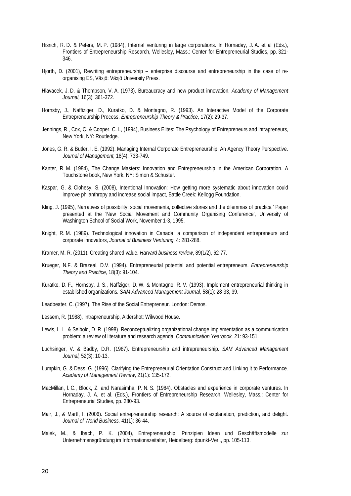- Hisrich, R. D. & Peters, M. P. (1984), InternaI venturing in large corporations. In Hornaday, J. A. et al (Eds.), Frontiers of Entrepreneurship Research, Wellesley, Mass.: Center for Entrepreneurial Studies, pp. 321- 346.
- Hjorth, D. (2001), Rewriting entrepreneurship enterprise discourse and entrepreneurship in the case of reorganising ES, Växjö: Växjö University Press.
- Hlavacek, J. D. & Thompson, V. A. (1973). Bureaucracy and new product innovation. *Academy of Management Journal,* 16(3): 361-372.
- Hornsby, J., Naffiziger, D., Kuratko, D. & Montagno, R. (1993). An Interactive Model of the Corporate Entrepreneurship Process. *Entrepreneurship Theory & Practice,* 17(2): 29-37.
- Jennings, R., Cox, C. & Cooper, C. L, (1994), Business Elites: The Psychology of Entrepreneurs and lntrapreneurs, New York, NY: Routledge.
- Jones, G. R. & Butler, I. E. (1992). Managing Internal Corporate Entrepreneurship: An Agency Theory Perspective. *Journal of Management,* 18(4): 733-749.
- Kanter, R. M. (1984), The Change Masters: Innovation and Entrepreneurship in the American Corporation. A Touchstone book, New York, NY: Simon & Schuster.
- Kaspar, G. & Clohesy, S. (2008), Intentional Innovation: How getting more systematic about innovation could improve philanthropy and increase social impact, Battle Creek: Kellogg Foundation.
- Kling, J. (1995), Narratives of possibility: social movements, collective stories and the dilemmas of practice.' Paper presented at the 'New Social Movement and Community Organising Conference', University of Washington School of Social Work, November 1-3, 1995.
- Knight, R. M. (1989). Technological innovation in Canada: a comparison of independent entrepreneurs and corporate innovators, *Journal of Business Venturing,* 4: 281-288.
- Kramer, M. R. (2011). Creating shared value. *Harvard business review*, 89(1/2), 62-77.
- Krueger, N.F. & Brazeal, D.V. (1994). Entrepreneurial potential and potential entrepreneurs. *Entrepreneurship Theory and Practice,* 18(3): 91-104.
- Kuratko, D. F., Hornsby, J. S., Naffziger, D. W. & Montagno, R. V. (1993). Implement entrepreneurial thinking in established organizations. *SAM Advanced Management Journal,* 58(1): 28-33, 39.
- Leadbeater, C. (1997), The Rise of the Social Entrepreneur. London: Demos.
- Lessem, R. (1988), Intrapreneurship, Aldershot: Wilwood House.
- Lewis, L. L. & Seibold, D. R. (1998). Reconceptualizing organizational change implementation as a communication problem: a review of literature and research agenda. *Communication Yearbook,* 21: 93-151.
- Luchsinger, V. & Badby, D.R. (1987). Entrepreneurship and intrapreneurship. *SAM Advanced Management Journal,* 52(3): 10-13.
- Lumpkin, G. & Dess, G. (1996). Clarifying the Entrepreneurial Orientation Construct and Linking It to Performance. *Academy of Management Review,* 21(1): 135-172.
- MacMillan, l. C., Block, Z. and Narasimha, P. N. S. (1984). Obstacles and experience in corporate ventures. In Hornaday, J. A. et al. (Eds.), Frontiers of Entrepreneurship Research, Wellesley, Mass.: Center for Entrepreneurial Studies, pp. 280-93.
- Mair, J., & Martí, I. (2006). Social entrepreneurship research: A source of explanation, prediction, and delight. *Journal of World Business,* 41(1): 36-44.
- Malek, M., & Ibach, P. K. (2004), Entrepreneurship: Prinzipien Ideen und Geschäftsmodelle zur Unternehmensgründung im Informationszeitalter, Heidelberg: dpunkt-Verl., pp. 105-113.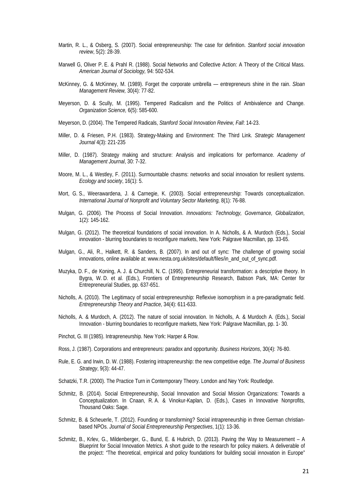- Martin, R. L., & Osberg, S. (2007). Social entrepreneurship: The case for definition. *Stanford social innovation review*, 5(2): 28-39.
- Marwell G, Oliver P. E. & Prahl R. (1988). Social Networks and Collective Action: A Theory of the Critical Mass. *American Journal of Sociology,* 94: 502-534.
- McKinney, G. & McKinney, M. (1989). Forget the corporate umbrella entrepreneurs shine in the rain. *Sloan Management Review,* 30(4): 77-82.
- Meyerson, D. & Scully, M. (1995). Tempered Radicalism and the Politics of Ambivalence and Change. *Organization Science,* 6(5): 585-600.
- Meyerson, D. (2004). The Tempered Radicals, *Stanford Social Innovation Review, Fall*: 14-23.
- Miller, D. & Friesen, P.H. (1983). Strategy-Making and Environment: The Third Link. *Strategic Management Journal* 4(3): 221-235
- Miller, D. (1987). Strategy making and structure: Analysis and implications for performance. *Academy of Management Journal*, 30: 7-32.
- Moore, M. L., & Westley, F. (2011). Surmountable chasms: networks and social innovation for resilient systems. *Ecology and society*, 16(1): 5.
- Mort, G. S., Weerawardena, J. & Carnegie, K. (2003). Social entrepreneurship: Towards conceptualization. *International Journal of Nonprofit and Voluntary Sector Marketing,* 8(1): 76-88.
- Mulgan, G. (2006). The Process of Social Innovation. *Innovations: Technology, Governance, Globalization,*  1(2): 145-162.
- Mulgan, G. (2012). The theoretical foundations of social innovation. In A. Nicholls, & A. Murdoch (Eds.), Social innovation - blurring boundaries to reconfigure markets, New York: Palgrave Macmillan, pp. 33-65.
- Mulgan, G., Ali, R., Halkett, R. & Sanders, B. (2007). In and out of sync: The challenge of growing social innovations, online available at: www.nesta.org.uk/sites/default/files/in\_and\_out\_of\_sync.pdf.
- Muzyka, D. F., de Koning, A. J. & Churchill, N. C. (1995). Entrepreneurial transformation: a descriptive theory. In Bygra, W. D. et al. (Eds.), Frontiers of Entrepreneurship Research, Babson Park, MA: Center for Entrepreneurial Studies, pp. 637-651.
- Nicholls, A. (2010). The Legitimacy of social entrepreneurship: Reflexive isomorphism in a pre-paradigmatic field. *Entrepreneurship Theory and Practice,* 34(4): 611-633.
- Nicholls, A. & Murdoch, A. (2012). The nature of social innovation. In Nicholls, A. & Murdoch A. (Eds.), Social Innovation - blurring boundaries to reconfigure markets, New York: Palgrave Macmillan, pp. 1- 30.
- Pinchot, G. III (1985). Intrapreneurship. New York: Harper & Row.
- Ross, J. (1987). Corporations and entrepreneurs: paradox and opportunity. *Business Horizons*, 30(4): 76-80.
- Rule, E. G. and Irwin, D. W. (1988). Fostering intrapreneurship: the new competitive edge. *The Journal of Business Strategy*, 9(3): 44-47.
- Schatzki, T.R. (2000). The Practice Turn in Contemporary Theory. London and Ney York: Routledge.
- Schmitz, B. (2014). Social Entrepreneurship, Social Innovation and Social Mission Organizations: Towards a Conceptualization. In Cnaan, R. A. & Vinokur-Kaplan, D. (Eds.), Cases in Innovative Nonprofits, Thousand Oaks: Sage.
- Schmitz, B. & Scheuerle, T. (2012). Founding or transforming? Social intrapreneurship in three German christianbased NPOs. *Journal of Social Entrepreneurship Perspectives*, 1(1): 13-36.
- Schmitz, B., Krlev, G., Mildenberger, G., Bund, E. & Hubrich, D. (2013). Paving the Way to Measurement A Blueprint for Social Innovation Metrics. A short guide to the research for policy makers. A deliverable of the project: "The theoretical, empirical and policy foundations for building social innovation in Europe"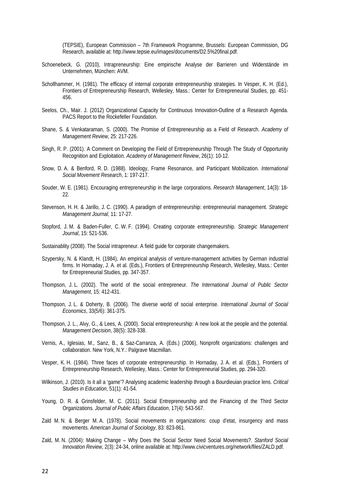(TEPSIE), European Commission – 7th Framework Programme, Brussels: European Commission, DG Research, available at: http://www.tepsie.eu/images/documents/D2.5%20final.pdf.

- Schoenebeck, G. (2010), Intrapreneurship: Eine empirische Analyse der Barrieren und Widerstände im Unternehmen, München: AVM.
- Schollhammer, H. (1981). The efficacy of internal corporate entrepreneurship strategies. In Vesper, K. H. (Ed.), Frontiers of Entrepreneurship Research, Wellesley, Mass.: Center for Entrepreneurial Studies, pp. 451- 456.
- Seelos, Ch., Mair. J. (2012) Organizational Capacity for Continuous Innovation-Outline of a Research Agenda. PACS Report to the Rockefeller Foundation.
- Shane, S. & Venkataraman, S. (2000). The Promise of Entrepreneurship as a Field of Research. *Academy of Management Review*, 25: 217-226.
- Singh, R. P. (2001). A Comment on Developing the Field of Entrepreneurship Through The Study of Opportunity Recognition and Exploitation. *Academy of Management Review*, 26(1): 10-12.
- Snow, D. A. & Benford, R. D. (1988). Ideology, Frame Resonance, and Participant Mobilization. *International Social Movement Research*, 1: 197-217.
- Souder, W. E. (1981). Encouraging entrepreneurship in the large corporations. *Research Management*, 14(3): 18- 22.
- Stevenson, H. H. & Jarillo, J. C. (1990). A paradigm of entrepreneurship: entrepreneurial management. *Strategic Management Journal*, 11: 17-27.
- Stopford, J. M. & Baden-Fuller, C. W. F. (1994). Creating corporate entrepreneurship. *Strategic Management Journal*, 15: 521-536.
- Sustainablity (2008). The Social intrapreneur. A field guide for corporate changemakers.
- Szypersky, N. & Klandt, H. (1984), An empirical analysis of venture-management activities by German industrial firms. In Hornaday, J. A. et al. (Eds.), Frontiers of Entrepreneurship Research, Wellesley, Mass.: Center for Entrepreneurial Studies, pp. 347-357.
- Thompson, J. L. (2002). The world of the social entrepreneur. *The International Journal of Public Sector Management*, 15: 412-431.
- Thompson, J. L. & Doherty, B. (2006). The diverse world of social enterprise. *International Journal of Social Economics*, 33(5/6): 361-375.
- Thompson, J. L., Alvy, G., & Lees, A. (2000). Social entrepreneurship: A new look at the people and the potential. *Management Decision*, 38(5): 328-338.
- Vernis, A., Iglesias, M., Sanz, B., & Saz-Carranza, A. (Eds.) (2006), Nonprofit organizations: challenges and collaboration. New York, N.Y.: Palgrave Macmillan.
- Vesper, K. H. (1984). Three faces of corporate entrepreneurship. In Hornaday, J. A. et al. (Eds.), Frontiers of Entrepreneurship Research, Wellesley, Mass.: Center for Entrepreneurial Studies, pp. 294-320.
- Wilkinson, J. (2010). Is it all a 'game'? Analysing academic leadership through a Bourdieuian practice lens. *Critical Studies in Education*, 51(1): 41-54.
- Young, D. R. & Grinsfelder, M. C. (2011). Social Entrepreneurship and the Financing of the Third Sector Organizations. *Journal of Public Affairs Education*, 17(4): 543-567.
- Zald M. N. & Berger M. A. (1978). Social movements in organizations: coup d'etat, insurgency and mass movements. *American Journal of Sociology*, 83: 823-861.
- Zald, M. N. (2004): Making Change Why Does the Social Sector Need Social Movements?. *Stanford Social Innovation Review*, 2(3): 24-34, online available at: http://www.civicventures.org/network/files/ZALD.pdf.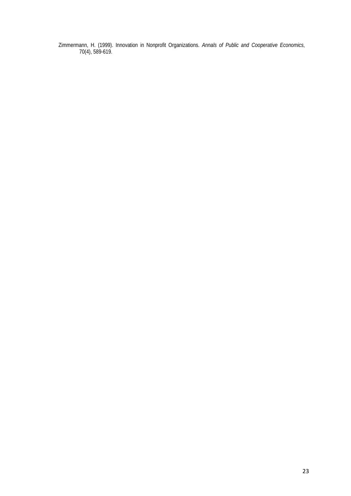Zimmermann, H. (1999). Innovation in Nonprofit Organizations. *Annals of Public and Cooperative Economics*, 70(4), 589-619.